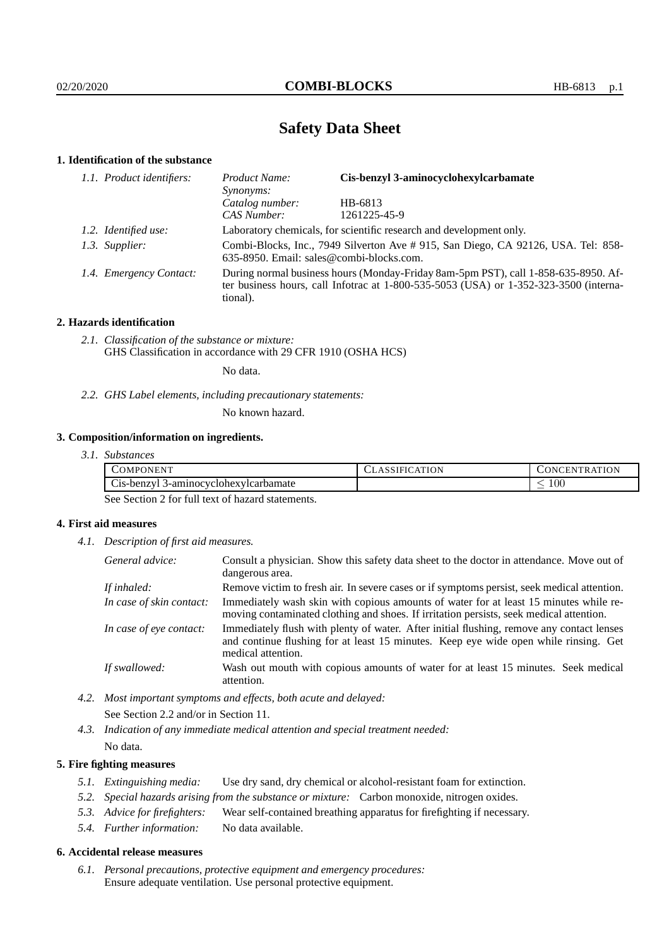# **Safety Data Sheet**

## **1. Identification of the substance**

| 1.1. Product identifiers: | Cis-benzyl 3-aminocyclohexylcarbamate<br>Product Name:<br>Synonyms:                                                                                                                     |              |  |
|---------------------------|-----------------------------------------------------------------------------------------------------------------------------------------------------------------------------------------|--------------|--|
|                           | Catalog number:                                                                                                                                                                         | HB-6813      |  |
|                           | CAS Number:                                                                                                                                                                             | 1261225-45-9 |  |
| 1.2. Identified use:      | Laboratory chemicals, for scientific research and development only.                                                                                                                     |              |  |
| 1.3. Supplier:            | Combi-Blocks, Inc., 7949 Silverton Ave # 915, San Diego, CA 92126, USA. Tel: 858-<br>635-8950. Email: sales@combi-blocks.com.                                                           |              |  |
| 1.4. Emergency Contact:   | During normal business hours (Monday-Friday 8am-5pm PST), call 1-858-635-8950. Af-<br>ter business hours, call Infotrac at 1-800-535-5053 (USA) or 1-352-323-3500 (interna-<br>tional). |              |  |

## **2. Hazards identification**

*2.1. Classification of the substance or mixture:* GHS Classification in accordance with 29 CFR 1910 (OSHA HCS)

No data.

*2.2. GHS Label elements, including precautionary statements:*

No known hazard.

## **3. Composition/information on ingredients.**

| 3.1. Substances |
|-----------------|
|                 |

| 'OMPONENT                                                                     | <b>ATION</b> | ATION<br>۱N۲.<br>TRAT<br>ı Ni |
|-------------------------------------------------------------------------------|--------------|-------------------------------|
| $\tilde{\phantom{a}}$<br>$\cup$ is-benzy $\cup$<br>3-aminocyclohexylcarbamate |              | 100<br>_                      |

See Section 2 for full text of hazard statements.

## **4. First aid measures**

*4.1. Description of first aid measures.*

| General advice:          | Consult a physician. Show this safety data sheet to the doctor in attendance. Move out of<br>dangerous area.                                                                                            |
|--------------------------|---------------------------------------------------------------------------------------------------------------------------------------------------------------------------------------------------------|
| If inhaled:              | Remove victim to fresh air. In severe cases or if symptoms persist, seek medical attention.                                                                                                             |
| In case of skin contact: | Immediately wash skin with copious amounts of water for at least 15 minutes while re-<br>moving contaminated clothing and shoes. If irritation persists, seek medical attention.                        |
| In case of eye contact:  | Immediately flush with plenty of water. After initial flushing, remove any contact lenses<br>and continue flushing for at least 15 minutes. Keep eye wide open while rinsing. Get<br>medical attention. |
| If swallowed:            | Wash out mouth with copious amounts of water for at least 15 minutes. Seek medical<br>attention.                                                                                                        |

*4.2. Most important symptoms and effects, both acute and delayed:* See Section 2.2 and/or in Section 11.

*4.3. Indication of any immediate medical attention and special treatment needed:* No data.

### **5. Fire fighting measures**

- *5.1. Extinguishing media:* Use dry sand, dry chemical or alcohol-resistant foam for extinction.
- *5.2. Special hazards arising from the substance or mixture:* Carbon monoxide, nitrogen oxides.
- *5.3. Advice for firefighters:* Wear self-contained breathing apparatus for firefighting if necessary.
- *5.4. Further information:* No data available.

### **6. Accidental release measures**

*6.1. Personal precautions, protective equipment and emergency procedures:* Ensure adequate ventilation. Use personal protective equipment.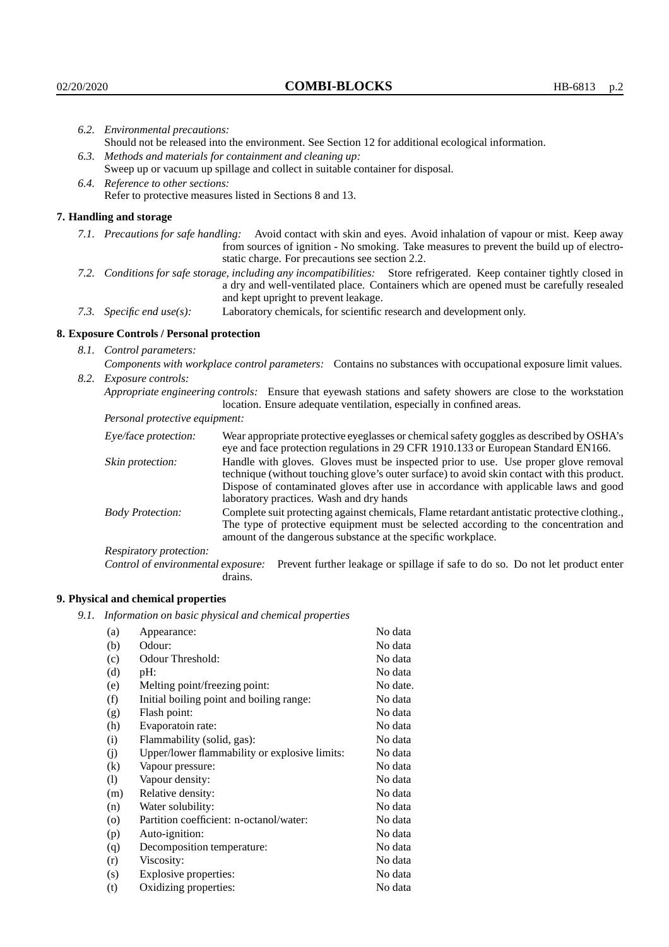|                                                                                                                                                                                                        | 6.2. Environmental precautions:                                                                                                                                                                                                                                    |                                                                                                                                                                                        |  |
|--------------------------------------------------------------------------------------------------------------------------------------------------------------------------------------------------------|--------------------------------------------------------------------------------------------------------------------------------------------------------------------------------------------------------------------------------------------------------------------|----------------------------------------------------------------------------------------------------------------------------------------------------------------------------------------|--|
|                                                                                                                                                                                                        |                                                                                                                                                                                                                                                                    | Should not be released into the environment. See Section 12 for additional ecological information.                                                                                     |  |
|                                                                                                                                                                                                        | 6.3. Methods and materials for containment and cleaning up:                                                                                                                                                                                                        |                                                                                                                                                                                        |  |
| Sweep up or vacuum up spillage and collect in suitable container for disposal.                                                                                                                         |                                                                                                                                                                                                                                                                    |                                                                                                                                                                                        |  |
|                                                                                                                                                                                                        | 6.4. Reference to other sections:                                                                                                                                                                                                                                  |                                                                                                                                                                                        |  |
|                                                                                                                                                                                                        |                                                                                                                                                                                                                                                                    | Refer to protective measures listed in Sections 8 and 13.                                                                                                                              |  |
|                                                                                                                                                                                                        | 7. Handling and storage                                                                                                                                                                                                                                            |                                                                                                                                                                                        |  |
|                                                                                                                                                                                                        | 7.1. Precautions for safe handling: Avoid contact with skin and eyes. Avoid inhalation of vapour or mist. Keep away<br>from sources of ignition - No smoking. Take measures to prevent the build up of electro-<br>static charge. For precautions see section 2.2. |                                                                                                                                                                                        |  |
|                                                                                                                                                                                                        | 7.2. Conditions for safe storage, including any incompatibilities: Store refrigerated. Keep container tightly closed in<br>a dry and well-ventilated place. Containers which are opened must be carefully resealed<br>and kept upright to prevent leakage.         |                                                                                                                                                                                        |  |
|                                                                                                                                                                                                        | Laboratory chemicals, for scientific research and development only.<br>7.3. Specific end use(s):                                                                                                                                                                   |                                                                                                                                                                                        |  |
|                                                                                                                                                                                                        | 8. Exposure Controls / Personal protection                                                                                                                                                                                                                         |                                                                                                                                                                                        |  |
|                                                                                                                                                                                                        | 8.1. Control parameters:                                                                                                                                                                                                                                           |                                                                                                                                                                                        |  |
|                                                                                                                                                                                                        |                                                                                                                                                                                                                                                                    | Components with workplace control parameters: Contains no substances with occupational exposure limit values.                                                                          |  |
|                                                                                                                                                                                                        | 8.2. Exposure controls:                                                                                                                                                                                                                                            |                                                                                                                                                                                        |  |
|                                                                                                                                                                                                        |                                                                                                                                                                                                                                                                    | Appropriate engineering controls: Ensure that eyewash stations and safety showers are close to the workstation<br>location. Ensure adequate ventilation, especially in confined areas. |  |
|                                                                                                                                                                                                        | Personal protective equipment:                                                                                                                                                                                                                                     |                                                                                                                                                                                        |  |
|                                                                                                                                                                                                        | Eye/face protection:                                                                                                                                                                                                                                               | Wear appropriate protective eyeglasses or chemical safety goggles as described by OSHA's<br>eye and face protection regulations in 29 CFR 1910.133 or European Standard EN166.         |  |
| Handle with gloves. Gloves must be inspected prior to use. Use proper glove removal<br>Skin protection:<br>technique (without touching glove's outer surface) to avoid skin contact with this product. |                                                                                                                                                                                                                                                                    |                                                                                                                                                                                        |  |

## **8. Exposure Controls / Personal protection**

| Eye/face protection:                                                                    | Wear appropriate protective eyeglasses or chemical safety goggles as described by OSHA's<br>eye and face protection regulations in 29 CFR 1910.133 or European Standard EN166.                                                                                                                                         |                                                                                                                                                                                      |  |
|-----------------------------------------------------------------------------------------|------------------------------------------------------------------------------------------------------------------------------------------------------------------------------------------------------------------------------------------------------------------------------------------------------------------------|--------------------------------------------------------------------------------------------------------------------------------------------------------------------------------------|--|
| Skin protection:                                                                        | Handle with gloves. Gloves must be inspected prior to use. Use proper glove removal<br>technique (without touching glove's outer surface) to avoid skin contact with this product.<br>Dispose of contaminated gloves after use in accordance with applicable laws and good<br>laboratory practices. Wash and dry hands |                                                                                                                                                                                      |  |
| <b>Body Protection:</b><br>amount of the dangerous substance at the specific workplace. |                                                                                                                                                                                                                                                                                                                        | Complete suit protecting against chemicals, Flame retardant antistatic protective clothing.,<br>The type of protective equipment must be selected according to the concentration and |  |
| Respiratory protection:                                                                 |                                                                                                                                                                                                                                                                                                                        |                                                                                                                                                                                      |  |
| Control of environmental exposure:                                                      | drains.                                                                                                                                                                                                                                                                                                                | Prevent further leakage or spillage if safe to do so. Do not let product enter                                                                                                       |  |

## **9. Physical and chemical properties**

*9.1. Information on basic physical and chemical properties*

| (a)                        | Appearance:                                   | No data  |
|----------------------------|-----------------------------------------------|----------|
| (b)                        | Odour:                                        | No data  |
| (c)                        | Odour Threshold:                              | No data  |
| (d)                        | pH:                                           | No data  |
| (e)                        | Melting point/freezing point:                 | No date. |
| (f)                        | Initial boiling point and boiling range:      | No data  |
| (g)                        | Flash point:                                  | No data  |
| (h)                        | Evaporatoin rate:                             | No data  |
| (i)                        | Flammability (solid, gas):                    | No data  |
| (j)                        | Upper/lower flammability or explosive limits: | No data  |
| $\left( k\right)$          | Vapour pressure:                              | No data  |
| $\left( \mathrm{l}\right)$ | Vapour density:                               | No data  |
| (m)                        | Relative density:                             | No data  |
| (n)                        | Water solubility:                             | No data  |
| $\circ$                    | Partition coefficient: n-octanol/water:       | No data  |
| (p)                        | Auto-ignition:                                | No data  |
| (q)                        | Decomposition temperature:                    | No data  |
| (r)                        | Viscosity:                                    | No data  |
| (s)                        | Explosive properties:                         | No data  |
| (t)                        | Oxidizing properties:                         | No data  |